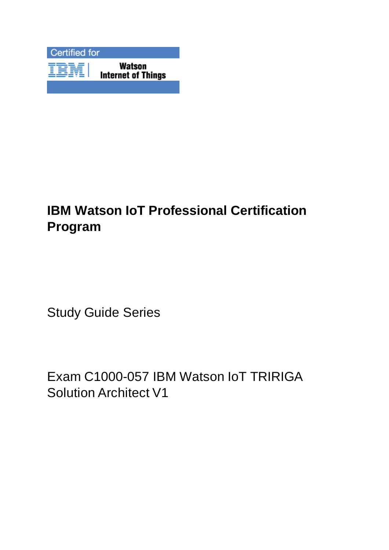

# **IBM Watson IoT Professional Certification Program**

Study Guide Series

Exam C1000-057 IBM Watson IoT TRIRIGA Solution Architect V1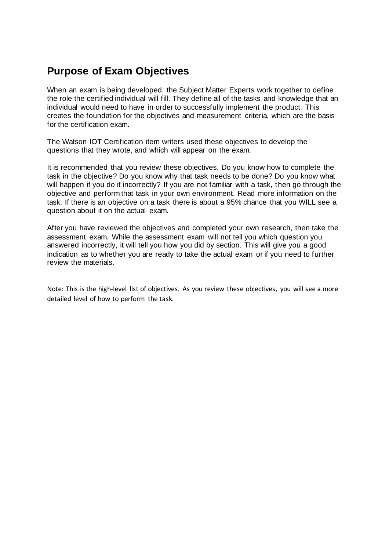# **Purpose of Exam Objectives**

When an exam is being developed, the Subject Matter Experts work together to define the role the certified individual will fill. They define all of the tasks and knowledge that an individual would need to have in order to successfully implement the product. This creates the foundation for the objectives and measurement criteria, which are the basis for the certification exam.

The Watson IOT Certification item writers used these objectives to develop the questions that they wrote, and which will appear on the exam.

It is recommended that you review these objectives. Do you know how to complete the task in the objective? Do you know why that task needs to be done? Do you know what will happen if you do it incorrectly? If you are not familiar with a task, then go through the objective and perform that task in your own environment. Read more information on the task. If there is an objective on a task there is about a 95% chance that you WILL see a question about it on the actual exam.

After you have reviewed the objectives and completed your own research, then take the assessment exam. While the assessment exam will not tell you which question you answered incorrectly, it will tell you how you did by section. This will give you a good indication as to whether you are ready to take the actual exam or if you need to further review the materials.

Note: This is the high-level list of objectives. As you review these objectives, you will see a more detailed level of how to perform the task.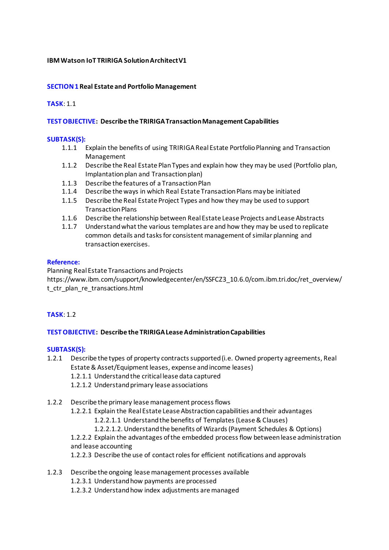#### **IBM Watson IoT TRIRIGA Solution Architect V1**

#### **SECTION 1 Real Estate and Portfolio Management**

#### **TASK**: 1.1

#### **TEST OBJECTIVE: Describe the TRIRIGA Transaction Management Capabilities**

#### **SUBTASK(S):**

- 1.1.1 Explain the benefits of using TRIRIGA Real Estate Portfolio Planning and Transaction Management
- 1.1.2 Describe the Real Estate Plan Types and explain how they may be used (Portfolio plan, Implantation plan and Transaction plan)
- 1.1.3 Describe the features of a Transaction Plan
- 1.1.4 Describe the ways in which Real Estate Transaction Plans may be initiated
- 1.1.5 Describe the Real Estate Project Types and how they may be used to support Transaction Plans
- 1.1.6 Describe the relationship between Real Estate Lease Projects and Lease Abstracts
- 1.1.7 Understand what the various templates are and how they may be used to replicate common details and tasks for consistent management of similar planning and transaction exercises.

#### **Reference:**

Planning Real Estate Transactions and Projects https://www.ibm.com/support/knowledgecenter/en/SSFCZ3\_10.6.0/com.ibm.tri.doc/ret\_overview/ t ctr plan re transactions.html

#### **TASK**: 1.2

#### **TEST OBJECTIVE: Describe the TRIRIGA Lease Administration Capabilities**

#### **SUBTASK(S):**

- 1.2.1 Describe the types of property contracts supported (i.e. Owned property agreements, Real Estate & Asset/Equipment leases, expense and income leases)
	- 1.2.1.1 Understand the critical lease data captured
	- 1.2.1.2 Understand primary lease associations
- 1.2.2 Describe the primary lease management process flows

1.2.2.1 Explain the Real Estate Lease Abstraction capabilities and their advantages

- 1.2.2.1.1 Understand the benefits of Templates (Lease & Clauses)
- 1.2.2.1.2. Understand the benefits of Wizards (Payment Schedules & Options)

1.2.2.2 Explain the advantages of the embedded process flow between lease administration and lease accounting

1.2.2.3 Describe the use of contact roles for efficient notifications and approvals

- 1.2.3 Describe the ongoing lease management processes available
	- 1.2.3.1 Understand how payments are processed
	- 1.2.3.2 Understand how index adjustments are managed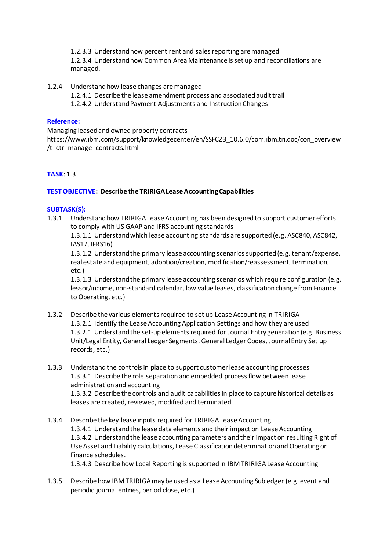1.2.3.3 Understand how percent rent and sales reporting are managed 1.2.3.4 Understand how Common Area Maintenance is set up and reconciliations are managed.

- 1.2.4 Understand how lease changes are managed
	- 1.2.4.1 Describe the lease amendment process and associated audit trail
	- 1.2.4.2 Understand Payment Adjustments and Instruction Changes

#### **Reference:**

Managing leased and owned property contracts https://www.ibm.com/support/knowledgecenter/en/SSFCZ3\_10.6.0/com.ibm.tri.doc/con\_overview /t\_ctr\_manage\_contracts.html

#### **TASK**: 1.3

#### **TEST OBJECTIVE: Describe the TRIRIGA Lease Accounting Capabilities**

#### **SUBTASK(S):**

1.3.1 Understand how TRIRIGA Lease Accounting has been designed to support customer efforts to comply with US GAAP and IFRS accounting standards

1.3.1.1 Understand which lease accounting standards are supported (e.g. ASC840, ASC842, IAS17, IFRS16)

1.3.1.2 Understand the primary lease accounting scenarios supported (e.g. tenant/expense, real estate and equipment, adoption/creation, modification/reassessment, termination, etc.)

1.3.1.3 Understand the primary lease accounting scenarios which require configuration (e.g. lessor/income, non-standard calendar, low value leases, classification change from Finance to Operating, etc.)

- 1.3.2 Describe the various elements required to set up Lease Accounting in TRIRIGA 1.3.2.1 Identify the Lease Accounting Application Settings and how they are used 1.3.2.1 Understand the set-up elements required for Journal Entry generation (e.g. Business Unit/Legal Entity, General Ledger Segments, General Ledger Codes, Journal Entry Set up records, etc.)
- 1.3.3 Understand the controls in place to support customer lease accounting processes 1.3.3.1 Describe the role separation and embedded process flow between lease administration and accounting 1.3.3.2 Describe the controls and audit capabilities in place to capture historical details as leases are created, reviewed, modified and terminated.
- 1.3.4 Describe the key lease inputs required for TRIRIGA Lease Accounting 1.3.4.1 Understand the lease data elements and their impact on Lease Accounting 1.3.4.2 Understand the lease accounting parameters and their impact on resulting Right of Use Asset and Liability calculations, Lease Classification determination and Operating or Finance schedules. 1.3.4.3 Describe how Local Reporting is supported in IBM TRIRIGA Lease Accounting
- 1.3.5 Describe how IBM TRIRIGA may be used as a Lease Accounting Subledger (e.g. event and periodic journal entries, period close, etc.)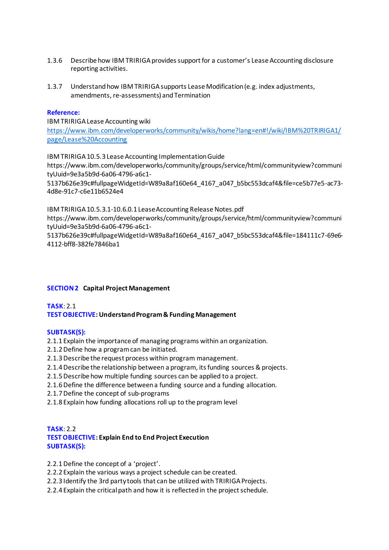- 1.3.6 Describe how IBM TRIRIGA provides support for a customer's Lease Accounting disclosure reporting activities.
- 1.3.7 Understand how IBM TRIRIGA supports Lease Modification (e.g. index adjustments, amendments, re-assessments) and Termination

#### **Reference:**

IBM TRIRIGA Lease Accounting wiki [https://www.ibm.com/developerworks/community/wikis/home?lang=en#!/wiki/IBM%20TRIRIGA1/](https://www.ibm.com/developerworks/community/wikis/home?lang=en#!/wiki/IBM%20TRIRIGA1/page/Lease%20Accounting) [page/Lease%20Accounting](https://www.ibm.com/developerworks/community/wikis/home?lang=en#!/wiki/IBM%20TRIRIGA1/page/Lease%20Accounting)

IBM TRIRIGA 10.5.3 Lease Accounting Implementation Guide https://www.ibm.com/developerworks/community/groups/service/html/communityview?communi tyUuid=9e3a5b9d-6a06-4796-a6c1-

5137b626e39c#fullpageWidgetId=W89a8af160e64\_4167\_a047\_b5bc553dcaf4&file=ce5b77e5-ac73- 4d8e-91c7-c6e11b6524e4

IBM TRIRIGA 10.5.3.1-10.6.0.1 Lease Accounting Release Notes.pdf

https://www.ibm.com/developerworks/community/groups/service/html/communityview?communi tyUuid=9e3a5b9d-6a06-4796-a6c1-

5137b626e39c#fullpageWidgetId=W89a8af160e64\_4167\_a047\_b5bc553dcaf4&file=184111c7-69e6- 4112-bff8-382fe7846ba1

#### **SECTION 2 Capital Project Management**

#### **TASK**: 2.1 **TEST OBJECTIVE: Understand Program & Funding Management**

#### **SUBTASK(S):**

- 2.1.1 Explain the importance of managing programs within an organization.
- 2.1.2Define how a program can be initiated.
- 2.1.3Describe the request process within program management.
- 2.1.4Describe the relationship between a program, its funding sources & projects.
- 2.1.5Describe how multiple funding sources can be applied to a project.
- 2.1.6Define the difference between a funding source and a funding allocation.
- 2.1.7Define the concept of sub-programs
- 2.1.8 Explain how funding allocations roll up to the program level

#### **TASK**: 2.2 **TEST OBJECTIVE: Explain End to End Project Execution SUBTASK(S):**

- 2.2.1 Define the concept of a 'project'.
- 2.2.2 Explain the various ways a project schedule can be created.
- 2.2.3 Identify the 3rd party tools that can be utilized with TRIRIGA Projects.
- 2.2.4 Explain the critical path and how it is reflected in the project schedule.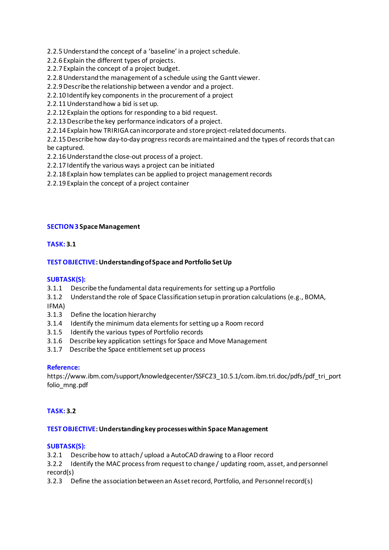- 2.2.5Understand the concept of a 'baseline' in a project schedule.
- 2.2.6 Explain the different types of projects.
- 2.2.7 Explain the concept of a project budget.
- 2.2.8Understand the management of a schedule using the Gantt viewer.
- 2.2.9Describe the relationship between a vendor and a project.
- 2.2.10 Identify key components in the procurement of a project
- 2.2.11Understand how a bid is set up.
- 2.2.12 Explain the options for responding to a bid request.
- 2.2.13Describe the key performance indicators of a project.
- 2.2.14 Explain how TRIRIGA can incorporate and store project-related documents.

2.2.15Describe how day-to-day progress records are maintained and the types of records that can be captured.

- 2.2.16Understand the close-out process of a project.
- 2.2.17 Identify the various ways a project can be initiated
- 2.2.18 Explain how templates can be applied to project management records
- 2.2.19 Explain the concept of a project container

#### **SECTION 3 Space Management**

#### **TASK: 3.1**

#### **TEST OBJECTIVE: Understanding of Space and Portfolio Set Up**

#### **SUBTASK(S):**

- 3.1.1 Describe the fundamental data requirements for setting up a Portfolio
- 3.1.2 Understand the role of Space Classification setup in proration calculations (e.g., BOMA,
- IFMA)
- 3.1.3 Define the location hierarchy
- 3.1.4 Identify the minimum data elements for setting up a Room record
- 3.1.5 Identify the various types of Portfolio records
- 3.1.6 Describe key application settings for Space and Move Management
- 3.1.7 Describe the Space entitlement set up process

#### **Reference:**

https://www.ibm.com/support/knowledgecenter/SSFCZ3\_10.5.1/com.ibm.tri.doc/pdfs/pdf\_tri\_port folio\_mng.pdf

#### **TASK: 3.2**

#### **TEST OBJECTIVE: Understanding key processes within Space Management**

#### **SUBTASK(S):**

3.2.1 Describe how to attach / upload a AutoCAD drawing to a Floor record

3.2.2 Identify the MAC process from request to change / updating room, asset, and personnel record(s)

3.2.3 Define the association between an Asset record, Portfolio, and Personnel record(s)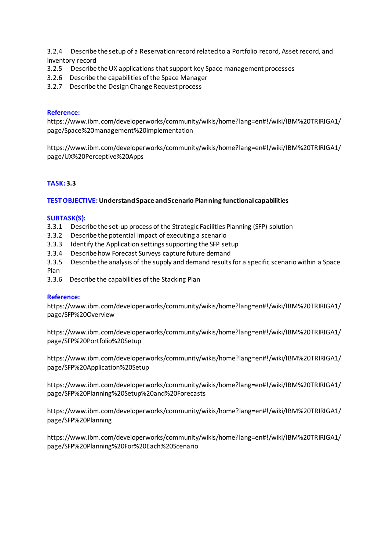3.2.4 Describe the setup of a Reservation record related to a Portfolio record, Asset record, and inventory record

- 3.2.5 Describe the UX applications that support key Space management processes
- 3.2.6 Describe the capabilities of the Space Manager
- 3.2.7 Describe the Design Change Request process

#### **Reference:**

https://www.ibm.com/developerworks/community/wikis/home?lang=en#!/wiki/IBM%20TRIRIGA1/ page/Space%20management%20implementation

https://www.ibm.com/developerworks/community/wikis/home?lang=en#!/wiki/IBM%20TRIRIGA1/ page/UX%20Perceptive%20Apps

#### **TASK: 3.3**

#### **TEST OBJECTIVE: Understand Space and Scenario Planning functional capabilities**

#### **SUBTASK(S):**

- 3.3.1 Describe the set-up process of the Strategic Facilities Planning (SFP) solution
- 3.3.2 Describe the potential impact of executing a scenario
- 3.3.3 Identify the Application settings supporting the SFP setup
- 3.3.4 Describe how Forecast Surveys capture future demand
- 3.3.5 Describe the analysis of the supply and demand results for a specific scenario within a Space Plan
- 3.3.6 Describe the capabilities of the Stacking Plan

#### **Reference:**

https://www.ibm.com/developerworks/community/wikis/home?lang=en#!/wiki/IBM%20TRIRIGA1/ page/SFP%20Overview

https://www.ibm.com/developerworks/community/wikis/home?lang=en#!/wiki/IBM%20TRIRIGA1/ page/SFP%20Portfolio%20Setup

https://www.ibm.com/developerworks/community/wikis/home?lang=en#!/wiki/IBM%20TRIRIGA1/ page/SFP%20Application%20Setup

https://www.ibm.com/developerworks/community/wikis/home?lang=en#!/wiki/IBM%20TRIRIGA1/ page/SFP%20Planning%20Setup%20and%20Forecasts

https://www.ibm.com/developerworks/community/wikis/home?lang=en#!/wiki/IBM%20TRIRIGA1/ page/SFP%20Planning

https://www.ibm.com/developerworks/community/wikis/home?lang=en#!/wiki/IBM%20TRIRIGA1/ page/SFP%20Planning%20For%20Each%20Scenario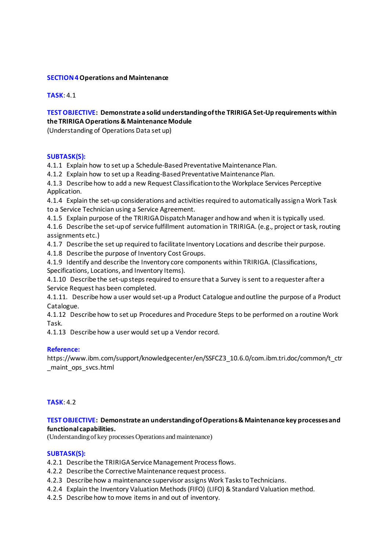#### **SECTION 4Operations and Maintenance**

**TASK**: 4.1

#### **TEST OBJECTIVE: Demonstrate a solid understanding of the TRIRIGA Set-Up requirements within the TRIRIGA Operations & Maintenance Module**

(Understanding of Operations Data set up)

#### **SUBTASK(S):**

4.1.1 Explain how to set up a Schedule-Based Preventative Maintenance Plan.

4.1.2 Explain how to set up a Reading-Based Preventative Maintenance Plan.

4.1.3 Describe how to add a new Request Classification to the Workplace Services Perceptive Application.

4.1.4 Explain the set-up considerations and activities required to automatically assign a Work Task to a Service Technician using a Service Agreement.

4.1.5 Explain purpose of the TRIRIGA Dispatch Manager and how and when it is typically used.

4.1.6 Describe the set-up of service fulfillment automation in TRIRIGA. (e.g., project or task, routing assignments etc.)

4.1.7 Describe the set up required to facilitate Inventory Locations and describe their purpose.

4.1.8 Describe the purpose of Inventory Cost Groups.

4.1.9 Identify and describe the Inventory core components within TRIRIGA. (Classifications, Specifications, Locations, and Inventory Items).

4.1.10 Describe the set-up steps required to ensure that a Survey is sent to a requester after a Service Request has been completed.

4.1.11. Describe how a user would set-up a Product Catalogue and outline the purpose of a Product Catalogue.

4.1.12 Describe how to set up Procedures and Procedure Steps to be performed on a routine Work Task.

4.1.13 Describe how a user would set up a Vendor record.

#### **Reference:**

https://www.ibm.com/support/knowledgecenter/en/SSFCZ3\_10.6.0/com.ibm.tri.doc/common/t\_ctr \_maint\_ops\_svcs.html

#### **TASK**: 4.2

#### **TEST OBJECTIVE: Demonstrate an understanding of Operations & Maintenance key processes and functional capabilities.**

(Understanding of key processes Operations and maintenance)

#### **SUBTASK(S):**

- 4.2.1 Describe the TRIRIGA Service Management Process flows.
- 4.2.2 Describe the Corrective Maintenance request process.
- 4.2.3 Describe how a maintenance supervisor assigns Work Tasks to Technicians.
- 4.2.4 Explain the Inventory Valuation Methods (FIFO) (LIFO) & Standard Valuation method.
- 4.2.5 Describe how to move items in and out of inventory.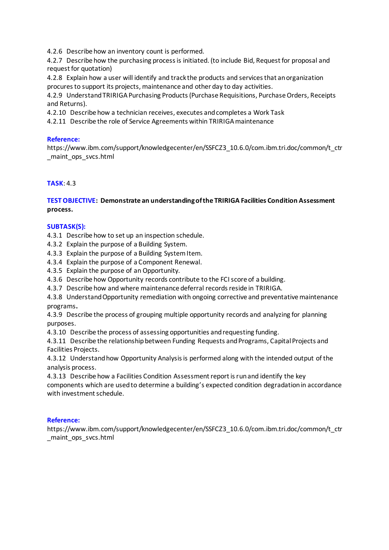4.2.6 Describe how an inventory count is performed.

4.2.7 Describe how the purchasing process is initiated. (to include Bid, Request for proposal and request for quotation)

4.2.8 Explain how a user will identify and track the products and services that an organization procures to support its projects, maintenance and other day to day activities.

4.2.9 Understand TRIRIGA Purchasing Products (Purchase Requisitions, Purchase Orders, Receipts and Returns).

4.2.10 Describe how a technician receives, executes and completes a Work Task

4.2.11 Describe the role of Service Agreements within TRIRIGA maintenance

#### **Reference:**

https://www.ibm.com/support/knowledgecenter/en/SSFCZ3\_10.6.0/com.ibm.tri.doc/common/t\_ctr \_maint\_ops\_svcs.html

#### **TASK**: 4.3

#### **TEST OBJECTIVE: Demonstrate an understanding of the TRIRIGA Facilities Condition Assessment process.**

#### **SUBTASK(S):**

4.3.1 Describe how to set up an inspection schedule.

4.3.2 Explain the purpose of a Building System.

4.3.3 Explain the purpose of a Building System Item.

- 4.3.4 Explain the purpose of a Component Renewal.
- 4.3.5 Explain the purpose of an Opportunity.

4.3.6 Describe how Opportunity records contribute to the FCI score of a building.

4.3.7 Describe how and where maintenance deferral records reside in TRIRIGA.

4.3.8 Understand Opportunity remediation with ongoing corrective and preventative maintenance programs**.** 

4.3.9 Describe the process of grouping multiple opportunity records and analyzing for planning purposes.

4.3.10 Describe the process of assessing opportunities and requesting funding.

4.3.11 Describe the relationship between Funding Requests and Programs, Capital Projects and Facilities Projects.

4.3.12 Understand how Opportunity Analysis is performed along with the intended output of the analysis process.

4.3.13 Describe how a Facilities Condition Assessment report is run and identify the key components which are used to determine a building's expected condition degradation in accordance with investment schedule.

#### **Reference:**

https://www.ibm.com/support/knowledgecenter/en/SSFCZ3\_10.6.0/com.ibm.tri.doc/common/t\_ctr \_maint\_ops\_svcs.html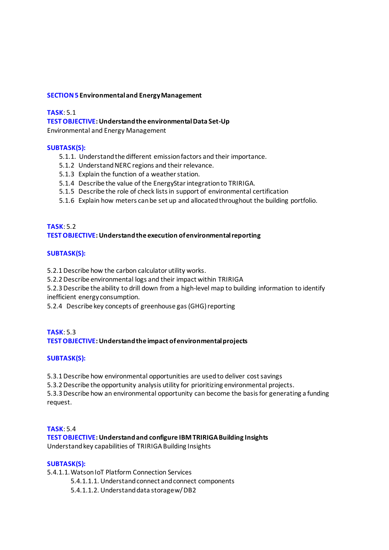#### **SECTION 5 Environmental and Energy Management**

#### **TASK**: 5.1

#### **TEST OBJECTIVE: Understand the environmental Data Set-Up**

Environmental and Energy Management

#### **SUBTASK(S):**

- 5.1.1. Understand the different emission factors and their importance.
- 5.1.2 Understand NERC regions and their relevance.
- 5.1.3 Explain the function of a weather station.
- 5.1.4 Describe the value of the EnergyStar integration to TRIRIGA.
- 5.1.5 Describe the role of check lists in support of environmental certification
- 5.1.6 Explain how meters can be set up and allocated throughout the building portfolio.

#### **TASK**: 5.2 **TEST OBJECTIVE: Understand the execution of environmental reporting**

#### **SUBTASK(S):**

5.2.1 Describe how the carbon calculator utility works.

5.2.2 Describe environmental logs and their impact within TRIRIGA

5.2.3 Describe the ability to drill down from a high-level map to building information to identify inefficient energy consumption.

5.2.4 Describe key concepts of greenhouse gas (GHG) reporting

#### **TASK**: 5.3 **TEST OBJECTIVE: Understand the impact of environmental projects**

#### **SUBTASK(S):**

5.3.1 Describe how environmental opportunities are used to deliver cost savings

5.3.2 Describe the opportunity analysis utility for prioritizing environmental projects.

5.3.3 Describe how an environmental opportunity can become the basis for generating a funding request.

#### **TASK**: 5.4 **TEST OBJECTIVE: Understand and configure IBM TRIRIGA Building Insights** Understand key capabilities of TRIRIGA Building Insights

#### **SUBTASK(S):**

5.4.1.1.Watson IoT Platform Connection Services

- 5.4.1.1.1. Understand connect and connect components
- 5.4.1.1.2. Understand data storage w/ DB2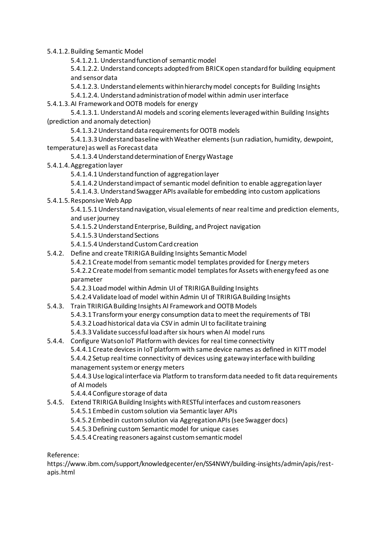5.4.1.2.Building Semantic Model

5.4.1.2.1. Understand function of semantic model

5.4.1.2.2. Understand concepts adopted from BRICK open standard for building equipment and sensor data

5.4.1.2.3. Understand elements within hierarchy model concepts for Building Insights

5.4.1.2.4. Understand administration of model within admin user interface

5.4.1.3.AI Framework and OOTB models for energy

5.4.1.3.1. Understand AI models and scoring elements leveraged within Building Insights (prediction and anomaly detection)

5.4.1.3.2Understand data requirements for OOTB models

5.4.1.3.3Understand baseline with Weather elements (sun radiation, humidity, dewpoint, temperature) as well as Forecast data

5.4.1.3.4Understand determination of Energy Wastage

5.4.1.4.Aggregation layer

5.4.1.4.1Understand function of aggregation layer

5.4.1.4.2Understand impact of semantic model definition to enable aggregation layer

5.4.1.4.3. Understand Swagger APIs available for embedding into custom applications

5.4.1.5.Responsive Web App

5.4.1.5.1Understand navigation, visual elements of near real time and prediction elements, and user journey

- 5.4.1.5.2Understand Enterprise, Building, and Project navigation
- 5.4.1.5.3Understand Sections
- 5.4.1.5.4Understand Custom Card creation
- 5.4.2. Define and create TRIRIGA Building Insights Semantic Model

5.4.2.1 Create model from semantic model templates provided for Energy meters 5.4.2.2 Create model from semantic model templates for Assets with energy feed as one parameter

5.4.2.3 Load model within Admin UI of TRIRIGA Building Insights

5.4.2.4 Validate load of model within Admin UI of TRIRIGA Building Insights

5.4.3. Train TRIRIGA Building Insights AI Framework and OOTB Models 5.4.3.1 Transform your energy consumption data to meet the requirements of TBI 5.4.3.2 Load historical data via CSV in admin UI to facilitate training 5.4.3.3 Validate successful load after six hours when AI model runs

### 5.4.4. Configure Watson IoT Platform with devices for real time connectivity 5.4.4.1 Create devices in IoT platform with same device names as defined in KITT model 5.4.4.2 Setup real time connectivity of devices using gateway interface with building management system or energy meters

5.4.4.3Use logical interface via Platform to transform data needed to fit data requirements of AI models

- 5.4.4.4 Configure storage of data
- 5.4.5. Extend TRIRIGA Building Insights with RESTful interfaces and custom reasoners
	- 5.4.5.1 Embed in custom solution via Semantic layer APIs
	- 5.4.5.2 Embed in custom solution via Aggregation APIs (see Swagger docs)
	- 5.4.5.3Defining custom Semantic model for unique cases

5.4.5.4 Creating reasoners against custom semantic model

Reference:

https://www.ibm.com/support/knowledgecenter/en/SS4NWY/building-insights/admin/apis/restapis.html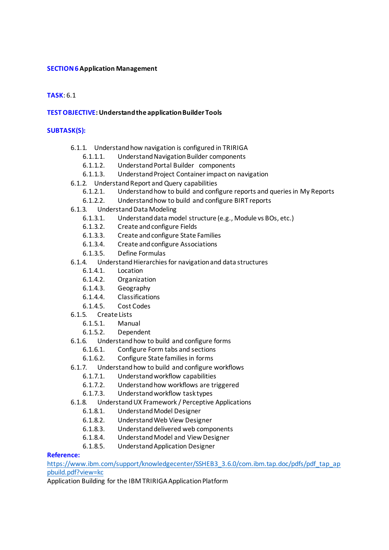#### **SECTION 6Application Management**

#### **TASK**: 6.1

#### **TEST OBJECTIVE: Understand the application Builder Tools**

#### **SUBTASK(S):**

- 6.1.1. Understand how navigation is configured in TRIRIGA
	- 6.1.1.1. Understand Navigation Builder components
	- 6.1.1.2. Understand Portal Builder components
	- 6.1.1.3. Understand Project Container impact on navigation
- 6.1.2. Understand Report and Query capabilities
	- Understand how to build and configure reports and queries in My Reports
	- 6.1.2.2. Understand how to build and configure BIRT reports
- 6.1.3. Understand Data Modeling
	- 6.1.3.1. Understand data model structure (e.g., Module vs BOs, etc.)
	- 6.1.3.2. Create and configure Fields<br>6.1.3.3. Create and configure State
		- 6.1.3.3. Create and configure State Families
	- 6.1.3.4. Create and configure Associations
	- 6.1.3.5. Define Formulas
- 6.1.4. Understand Hierarchies for navigation and data structures
	- 6.1.4.1. Location
	- 6.1.4.2. Organization
	- 6.1.4.3. Geography
	- 6.1.4.4. Classifications
	- 6.1.4.5. Cost Codes
- 6.1.5. Create Lists
	- 6.1.5.1. Manual
	- 6.1.5.2. Dependent
- 6.1.6. Understand how to build and configure forms
	- 6.1.6.1. Configure Form tabs and sections
	- 6.1.6.2. Configure State families in forms
- 6.1.7. Understand how to build and configure workflows
	- 6.1.7.1. Understand workflow capabilities
	- 6.1.7.2. Understand how workflows are triggered
	- 6.1.7.3. Understand workflow task types
- 6.1.8. Understand UX Framework / Perceptive Applications
	- 6.1.8.1. Understand Model Designer
	- 6.1.8.2. Understand Web View Designer
	- 6.1.8.3. Understand delivered web components
	- 6.1.8.4. Understand Model and View Designer
	- 6.1.8.5. Understand Application Designer

#### **Reference:**

[https://www.ibm.com/support/knowledgecenter/SSHEB3\\_3.6.0/com.ibm.tap.doc/pdfs/pdf\\_tap\\_ap](https://www.ibm.com/support/knowledgecenter/SSHEB3_3.6.0/com.ibm.tap.doc/pdfs/pdf_tap_appbuild.pdf?view=kc) [pbuild.pdf?view=kc](https://www.ibm.com/support/knowledgecenter/SSHEB3_3.6.0/com.ibm.tap.doc/pdfs/pdf_tap_appbuild.pdf?view=kc)

Application Building for the IBM TRIRIGA Application Platform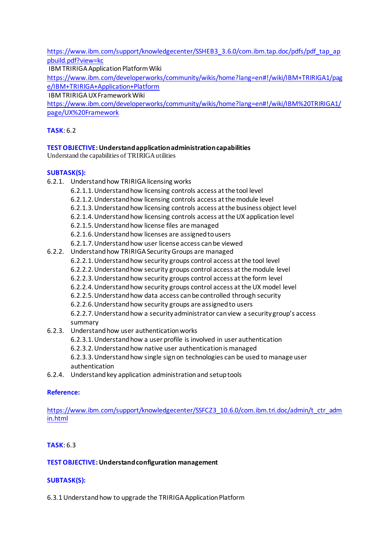[https://www.ibm.com/support/knowledgecenter/SSHEB3\\_3.6.0/com.ibm.tap.doc/pdfs/pdf\\_tap\\_ap](https://www.ibm.com/support/knowledgecenter/SSHEB3_3.6.0/com.ibm.tap.doc/pdfs/pdf_tap_appbuild.pdf?view=kc) [pbuild.pdf?view=kc](https://www.ibm.com/support/knowledgecenter/SSHEB3_3.6.0/com.ibm.tap.doc/pdfs/pdf_tap_appbuild.pdf?view=kc)

IBM TRIRIGA Application Platform Wiki

[https://www.ibm.com/developerworks/community/wikis/home?lang=en#!/wiki/IBM+TRIRIGA1/pag](https://www.ibm.com/developerworks/community/wikis/home?lang=en#!/wiki/IBM+TRIRIGA1/page/IBM+TRIRIGA+Application+Platform) [e/IBM+TRIRIGA+Application+Platform](https://www.ibm.com/developerworks/community/wikis/home?lang=en#!/wiki/IBM+TRIRIGA1/page/IBM+TRIRIGA+Application+Platform)

IBM TRIRIGA UX Framework Wiki

[https://www.ibm.com/developerworks/community/wikis/home?lang=en#!/wiki/IBM%20TRIRIGA1/](https://www.ibm.com/developerworks/community/wikis/home?lang=en#!/wiki/IBM%20TRIRIGA1/page/UX%20Framework) [page/UX%20Framework](https://www.ibm.com/developerworks/community/wikis/home?lang=en#!/wiki/IBM%20TRIRIGA1/page/UX%20Framework)

#### **TASK**: 6.2

#### **TEST OBJECTIVE: Understand application administration capabilities**

Understand the capabilities of TRIRIGA utilities

#### **SUBTASK(S):**

| 6.2.1. | Understand how TRIRIGA licensing works                                              |
|--------|-------------------------------------------------------------------------------------|
|        | 6.2.1.1. Understand how licensing controls access at the tool level                 |
|        | 6.2.1.2. Understand how licensing controls access at the module level               |
|        | 6.2.1.3. Understand how licensing controls access at the business object level      |
|        | 6.2.1.4. Understand how licensing controls access at the UX application level       |
|        | 6.2.1.5. Understand how license files are managed                                   |
|        | 6.2.1.6. Understand how licenses are assigned to users                              |
|        | 6.2.1.7. Understand how user license access can be viewed                           |
| 6.2.2. | Understand how TRIRIGA Security Groups are managed                                  |
|        | 6.2.2.1. Understand how security groups control access at the tool level            |
|        | 6.2.2.2. Understand how security groups control access at the module level          |
|        | 6.2.2.3. Understand how security groups control access at the form level            |
|        | 6.2.2.4. Understand how security groups control access at the UX model level        |
|        | 6.2.2.5. Understand how data access can be controlled through security              |
|        | 6.2.2.6. Understand how security groups are assigned to users                       |
|        | 6.2.2.7. Understand how a security administrator can view a security group's access |
|        | summary                                                                             |
| 6.2.3. | Understand how user authentication works                                            |
|        | 6.2.3.1. Understand how a user profile is involved in user authentication           |
|        | 6.2.3.2. Understand how native user authentication is managed                       |
|        |                                                                                     |

6.2.3.3.Understand how single sign on technologies can be used to manage user authentication

6.2.4. Understand key application administration and setup tools

#### **Reference:**

[https://www.ibm.com/support/knowledgecenter/SSFCZ3\\_10.6.0/com.ibm.tri.doc/admin/t\\_ctr\\_adm](https://www.ibm.com/support/knowledgecenter/SSFCZ3_10.6.0/com.ibm.tri.doc/admin/t_ctr_admin.html) [in.html](https://www.ibm.com/support/knowledgecenter/SSFCZ3_10.6.0/com.ibm.tri.doc/admin/t_ctr_admin.html)

#### **TASK**: 6.3

#### **TEST OBJECTIVE: Understand configuration management**

#### **SUBTASK(S):**

6.3.1 Understand how to upgrade the TRIRIGA Application Platform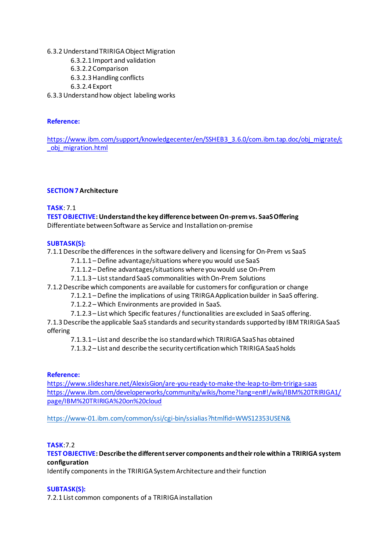6.3.2 Understand TRIRIGA Object Migration

6.3.2.1 Import and validation

- 6.3.2.2 Comparison
- 6.3.2.3Handling conflicts

6.3.2.4 Export

6.3.3 Understand how object labeling works

#### **Reference:**

[https://www.ibm.com/support/knowledgecenter/en/SSHEB3\\_3.6.0/com.ibm.tap.doc/obj\\_migrate/c](https://www.ibm.com/support/knowledgecenter/en/SSHEB3_3.6.0/com.ibm.tap.doc/obj_migrate/c_obj_migration.html) [\\_obj\\_migration.html](https://www.ibm.com/support/knowledgecenter/en/SSHEB3_3.6.0/com.ibm.tap.doc/obj_migrate/c_obj_migration.html)

#### **SECTION 7Architecture**

#### **TASK**: 7.1

#### **TEST OBJECTIVE: Understand the key difference between On-prem vs. SaaS Offering**

Differentiate between Software as Service and Installation on-premise

#### **SUBTASK(S):**

7.1.1 Describe the differences in the software delivery and licensing for On-Prem vs SaaS

- 7.1.1.1 –Define advantage/situations where you would use SaaS
- 7.1.1.2 –Define advantages/situations where you would use On-Prem
- 7.1.1.3 List standard SaaS commonalities with On-Prem Solutions
- 7.1.2 Describe which components are available for customers for configuration or change
	- 7.1.2.1 –Define the implications of using TRIRGA Application builder in SaaS offering.
		- 7.1.2.2 –Which Environments are provided in SaaS.
	- 7.1.2.3 List which Specific features / functionalities are excluded in SaaS offering.

7.1.3 Describe the applicable SaaS standards and security standards supported by IBM TRIRIGA SaaS offering

7.1.3.1 – List and describe the iso standard which TRIRIGA SaaS has obtained

7.1.3.2 – List and describe the security certification which TRIRIGA SaaS holds

#### **Reference:**

<https://www.slideshare.net/AlexisGion/are-you-ready-to-make-the-leap-to-ibm-tririga-saas> [https://www.ibm.com/developerworks/community/wikis/home?lang=en#!/wiki/IBM%20TRIRIGA1/](https://www.ibm.com/developerworks/community/wikis/home?lang=en#!/wiki/IBM%20TRIRIGA1/page/IBM%20TRIRIGA%20on%20cloud) [page/IBM%20TRIRIGA%20on%20cloud](https://www.ibm.com/developerworks/community/wikis/home?lang=en#!/wiki/IBM%20TRIRIGA1/page/IBM%20TRIRIGA%20on%20cloud)

<https://www-01.ibm.com/common/ssi/cgi-bin/ssialias?htmlfid=WWS12353USEN&>

#### **TASK**:7.2

#### **TEST OBJECTIVE: Describe the different server components and their role within a TRIRIGA system configuration**

Identify components in the TRIRIGA System Architecture and their function

#### **SUBTASK(S):**

7.2.1 List common components of a TRIRIGA installation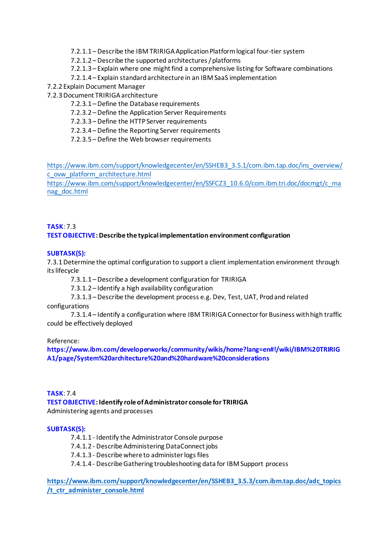- 7.2.1.1 –Describe the IBM TRIRIGA Application Platform logical four-tier system
- 7.2.1.2 –Describe the supported architectures / platforms
- 7.2.1.3 Explain where one might find a comprehensive listing for Software combinations
- 7.2.1.4 Explain standard architecture in an IBM SaaS implementation
- 7.2.2 Explain Document Manager
- 7.2.3 Document TRIRIGA architecture
	- 7.2.3.1 –Define the Database requirements
	- 7.2.3.2 –Define the Application Server Requirements
	- 7.2.3.3 –Define the HTTP Server requirements
	- 7.2.3.4 –Define the Reporting Server requirements
	- 7.2.3.5 –Define the Web browser requirements

[https://www.ibm.com/support/knowledgecenter/en/SSHEB3\\_3.5.1/com.ibm.tap.doc/ins\\_overview/](https://www.ibm.com/support/knowledgecenter/en/SSHEB3_3.5.1/com.ibm.tap.doc/ins_overview/c_ovw_platform_architecture.html) [c\\_ovw\\_platform\\_architecture.html](https://www.ibm.com/support/knowledgecenter/en/SSHEB3_3.5.1/com.ibm.tap.doc/ins_overview/c_ovw_platform_architecture.html)

[https://www.ibm.com/support/knowledgecenter/en/SSFCZ3\\_10.6.0/com.ibm.tri.doc/docmgt/c\\_ma](https://www.ibm.com/support/knowledgecenter/en/SSFCZ3_10.6.0/com.ibm.tri.doc/docmgt/c_manag_doc.html) [nag\\_doc.html](https://www.ibm.com/support/knowledgecenter/en/SSFCZ3_10.6.0/com.ibm.tri.doc/docmgt/c_manag_doc.html)

#### **TASK**: 7.3 **TEST OBJECTIVE: Describe the typical implementation environment configuration**

#### **SUBTASK(S):**

7.3.1 Determine the optimal configuration to support a client implementation environment through its lifecycle

7.3.1.1 –Describe a development configuration for TRIRIGA

7.3.1.2 – Identify a high availability configuration

7.3.1.3 –Describe the development process e.g. Dev, Test, UAT, Prod and related

configurations

7.3.1.4 – Identify a configuration where IBM TRIRIGA Connector for Business with high traffic could be effectively deployed

#### Reference:

**https://www.ibm.com/developerworks/community/wikis/home?lang=en#!/wiki/IBM%20TRIRIG A1/page/System%20architecture%20and%20hardware%20considerations**

## **TASK**: 7.4 **TEST OBJECTIVE: Identify role of Administrator console for TRIRIGA**

Administering agents and processes

#### **SUBTASK(S):**

7.4.1.1 - Identify the Administrator Console purpose

- 7.4.1.2 Describe Administering DataConnect jobs
- 7.4.1.3 Describe where to administer logs files

7.4.1.4 - Describe Gathering troubleshooting data for IBM Support process

**[https://www.ibm.com/support/knowledgecenter/en/SSHEB3\\_3.5.3/com.ibm.tap.doc/adc\\_topics](https://www.ibm.com/support/knowledgecenter/en/SSHEB3_3.5.3/com.ibm.tap.doc/adc_topics/t_ctr_administer_console.html) [/t\\_ctr\\_administer\\_console.html](https://www.ibm.com/support/knowledgecenter/en/SSHEB3_3.5.3/com.ibm.tap.doc/adc_topics/t_ctr_administer_console.html)**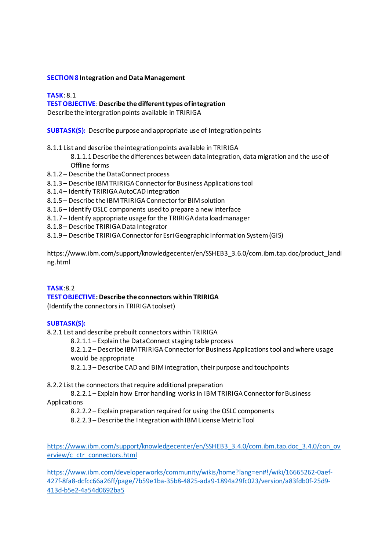#### **SECTION 8 Integration and Data Management**

**TASK**: 8.1

#### **TEST OBJECTIVE**: **Describe the different types of integration**

Describe the intergration points available in TRIRIGA

**SUBTASK(S):** Describe purpose and appropriate use of Integration points

- 8.1.1 List and describe the integration points available in TRIRIGA
	- 8.1.1.1 Describe the differences between data integration, data migration and the use of Offline forms
- 8.1.2 Describe the DataConnect process
- 8.1.3 Describe IBM TRIRIGA Connector for Business Applications tool
- 8.1.4 Identify TRIRIGA AutoCAD integration
- 8.1.5 Describe the IBM TRIRIGA Connector for BIM solution
- 8.1.6 Identify OSLC components used to prepare a new interface
- 8.1.7 Identify appropriate usage for the TRIRIGA data load manager
- 8.1.8 Describe TRIRIGA Data Integrator
- 8.1.9 Describe TRIRIGA Connector for Esri Geographic Information System (GIS)

https://www.ibm.com/support/knowledgecenter/en/SSHEB3\_3.6.0/com.ibm.tap.doc/product\_landi ng.html

#### **TASK**:8.2

#### **TEST OBJECTIVE: Describe the connectors within TRIRIGA**

(Identify the connectors in TRIRIGA toolset)

#### **SUBTASK(S):**

8.2.1 List and describe prebuilt connectors within TRIRIGA

8.2.1.1 – Explain the DataConnect staging table process

8.2.1.2 –Describe IBM TRIRIGA Connector for Business Applications tool and where usage would be appropriate

8.2.1.3 –Describe CAD and BIM integration, their purpose and touchpoints

#### 8.2.2 List the connectors that require additional preparation

8.2.2.1 – Explain how Error handling works in IBM TRIRIGA Connector for Business Applications

8.2.2.2 – Explain preparation required for using the OSLC components

8.2.2.3 –Describe the Integration with IBM License Metric Tool

[https://www.ibm.com/support/knowledgecenter/en/SSHEB3\\_3.4.0/com.ibm.tap.doc\\_3.4.0/con\\_ov](https://www.ibm.com/support/knowledgecenter/en/SSHEB3_3.4.0/com.ibm.tap.doc_3.4.0/con_overview/c_ctr_connectors.html) [erview/c\\_ctr\\_connectors.html](https://www.ibm.com/support/knowledgecenter/en/SSHEB3_3.4.0/com.ibm.tap.doc_3.4.0/con_overview/c_ctr_connectors.html)

[https://www.ibm.com/developerworks/community/wikis/home?lang=en#!/wiki/16665262-0aef-](https://www.ibm.com/developerworks/community/wikis/home?lang=en#!/wiki/16665262-0aef-427f-8fa8-dcfcc66a26ff/page/7b59e1ba-35b8-4825-ada9-1894a29fc023/version/a83fdb0f-25d9-413d-b5e2-4a54d0692ba5)[427f-8fa8-dcfcc66a26ff/page/7b59e1ba-35b8-4825-ada9-1894a29fc023/version/a83fdb0f-25d9-](https://www.ibm.com/developerworks/community/wikis/home?lang=en#!/wiki/16665262-0aef-427f-8fa8-dcfcc66a26ff/page/7b59e1ba-35b8-4825-ada9-1894a29fc023/version/a83fdb0f-25d9-413d-b5e2-4a54d0692ba5) [413d-b5e2-4a54d0692ba5](https://www.ibm.com/developerworks/community/wikis/home?lang=en#!/wiki/16665262-0aef-427f-8fa8-dcfcc66a26ff/page/7b59e1ba-35b8-4825-ada9-1894a29fc023/version/a83fdb0f-25d9-413d-b5e2-4a54d0692ba5)